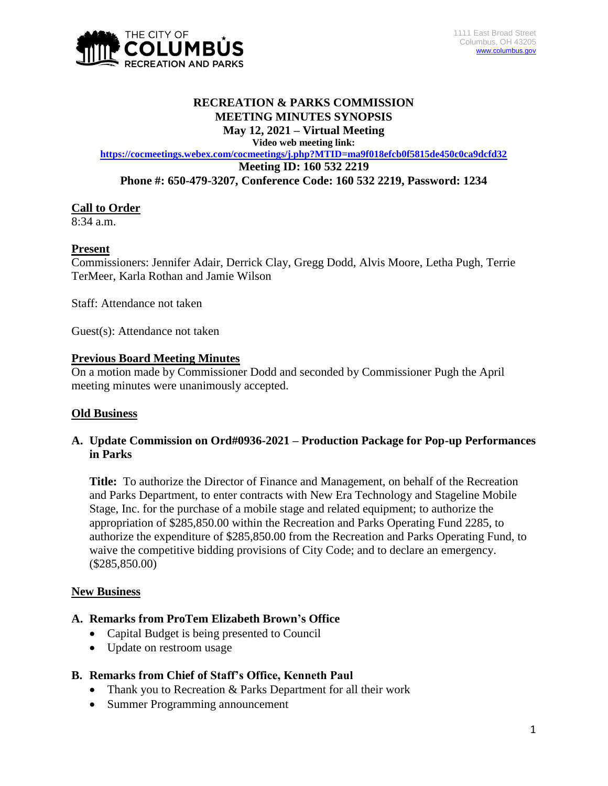

#### **RECREATION & PARKS COMMISSION MEETING MINUTES SYNOPSIS May 12, 2021 – Virtual Meeting**

**Video web meeting link:**

**<https://cocmeetings.webex.com/cocmeetings/j.php?MTID=ma9f018efcb0f5815de450c0ca9dcfd32> Meeting ID: 160 532 2219 Phone #: 650-479-3207, Conference Code: 160 532 2219, Password: 1234**

# **Call to Order**

8:34 a.m.

## **Present**

Commissioners: Jennifer Adair, Derrick Clay, Gregg Dodd, Alvis Moore, Letha Pugh, Terrie TerMeer, Karla Rothan and Jamie Wilson

Staff: Attendance not taken

Guest(s): Attendance not taken

#### **Previous Board Meeting Minutes**

On a motion made by Commissioner Dodd and seconded by Commissioner Pugh the April meeting minutes were unanimously accepted.

# **Old Business**

## **A. Update Commission on Ord#0936-2021 – Production Package for Pop-up Performances in Parks**

**Title:** To authorize the Director of Finance and Management, on behalf of the Recreation and Parks Department, to enter contracts with New Era Technology and Stageline Mobile Stage, Inc. for the purchase of a mobile stage and related equipment; to authorize the appropriation of \$285,850.00 within the Recreation and Parks Operating Fund 2285, to authorize the expenditure of \$285,850.00 from the Recreation and Parks Operating Fund, to waive the competitive bidding provisions of City Code; and to declare an emergency. (\$285,850.00)

#### **New Business**

#### **A. Remarks from ProTem Elizabeth Brown's Office**

- Capital Budget is being presented to Council
- Update on restroom usage

#### **B. Remarks from Chief of Staff's Office, Kenneth Paul**

- Thank you to Recreation & Parks Department for all their work
- Summer Programming announcement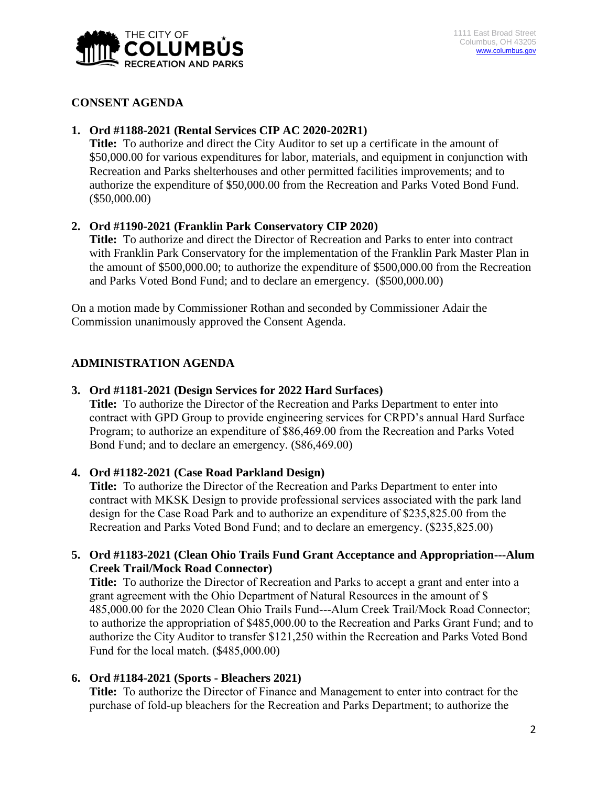

## **CONSENT AGENDA**

# **1. Ord #1188-2021 (Rental Services CIP AC 2020-202R1)**

**Title:** To authorize and direct the City Auditor to set up a certificate in the amount of \$50,000.00 for various expenditures for labor, materials, and equipment in conjunction with Recreation and Parks shelterhouses and other permitted facilities improvements; and to authorize the expenditure of \$50,000.00 from the Recreation and Parks Voted Bond Fund. (\$50,000.00)

# **2. Ord #1190-2021 (Franklin Park Conservatory CIP 2020)**

**Title:** To authorize and direct the Director of Recreation and Parks to enter into contract with Franklin Park Conservatory for the implementation of the Franklin Park Master Plan in the amount of \$500,000.00; to authorize the expenditure of \$500,000.00 from the Recreation and Parks Voted Bond Fund; and to declare an emergency. (\$500,000.00)

On a motion made by Commissioner Rothan and seconded by Commissioner Adair the Commission unanimously approved the Consent Agenda.

# **ADMINISTRATION AGENDA**

## **3. Ord #1181-2021 (Design Services for 2022 Hard Surfaces)**

**Title:** To authorize the Director of the Recreation and Parks Department to enter into contract with GPD Group to provide engineering services for CRPD's annual Hard Surface Program; to authorize an expenditure of \$86,469.00 from the Recreation and Parks Voted Bond Fund; and to declare an emergency. (\$86,469.00)

# **4. Ord #1182-2021 (Case Road Parkland Design)**

**Title:** To authorize the Director of the Recreation and Parks Department to enter into contract with MKSK Design to provide professional services associated with the park land design for the Case Road Park and to authorize an expenditure of \$235,825.00 from the Recreation and Parks Voted Bond Fund; and to declare an emergency. (\$235,825.00)

## **5. Ord #1183-2021 (Clean Ohio Trails Fund Grant Acceptance and Appropriation---Alum Creek Trail/Mock Road Connector)**

**Title:** To authorize the Director of Recreation and Parks to accept a grant and enter into a grant agreement with the Ohio Department of Natural Resources in the amount of \$ 485,000.00 for the 2020 Clean Ohio Trails Fund---Alum Creek Trail/Mock Road Connector; to authorize the appropriation of \$485,000.00 to the Recreation and Parks Grant Fund; and to authorize the City Auditor to transfer \$121,250 within the Recreation and Parks Voted Bond Fund for the local match. (\$485,000.00)

#### **6. Ord #1184-2021 (Sports - Bleachers 2021)**

**Title:** To authorize the Director of Finance and Management to enter into contract for the purchase of fold-up bleachers for the Recreation and Parks Department; to authorize the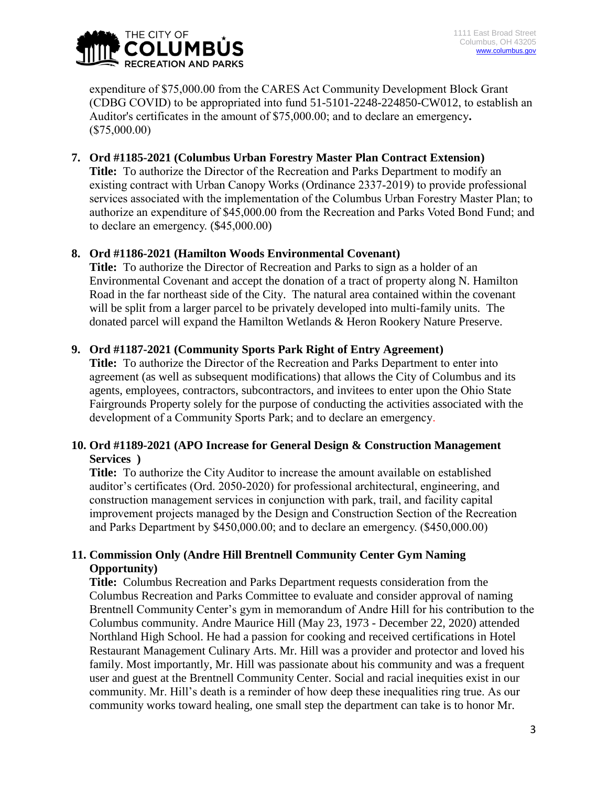

expenditure of \$75,000.00 from the CARES Act Community Development Block Grant (CDBG COVID) to be appropriated into fund 51-5101-2248-224850-CW012, to establish an Auditor's certificates in the amount of \$75,000.00; and to declare an emergency**.**  (\$75,000.00)

## **7. Ord #1185-2021 (Columbus Urban Forestry Master Plan Contract Extension)**

**Title:** To authorize the Director of the Recreation and Parks Department to modify an existing contract with Urban Canopy Works (Ordinance 2337-2019) to provide professional services associated with the implementation of the Columbus Urban Forestry Master Plan; to authorize an expenditure of \$45,000.00 from the Recreation and Parks Voted Bond Fund; and to declare an emergency. (\$45,000.00)

## **8. Ord #1186-2021 (Hamilton Woods Environmental Covenant)**

**Title:** To authorize the Director of Recreation and Parks to sign as a holder of an Environmental Covenant and accept the donation of a tract of property along N. Hamilton Road in the far northeast side of the City. The natural area contained within the covenant will be split from a larger parcel to be privately developed into multi-family units. The donated parcel will expand the Hamilton Wetlands & Heron Rookery Nature Preserve.

## **9. Ord #1187-2021 (Community Sports Park Right of Entry Agreement)**

**Title:** To authorize the Director of the Recreation and Parks Department to enter into agreement (as well as subsequent modifications) that allows the City of Columbus and its agents, employees, contractors, subcontractors, and invitees to enter upon the Ohio State Fairgrounds Property solely for the purpose of conducting the activities associated with the development of a Community Sports Park; and to declare an emergency.

## **10. Ord #1189-2021 (APO Increase for General Design & Construction Management Services )**

**Title:** To authorize the City Auditor to increase the amount available on established auditor's certificates (Ord. 2050-2020) for professional architectural, engineering, and construction management services in conjunction with park, trail, and facility capital improvement projects managed by the Design and Construction Section of the Recreation and Parks Department by \$450,000.00; and to declare an emergency. (\$450,000.00)

## **11. Commission Only (Andre Hill Brentnell Community Center Gym Naming Opportunity)**

**Title:** Columbus Recreation and Parks Department requests consideration from the Columbus Recreation and Parks Committee to evaluate and consider approval of naming Brentnell Community Center's gym in memorandum of Andre Hill for his contribution to the Columbus community. Andre Maurice Hill (May 23, 1973 - December 22, 2020) attended Northland High School. He had a passion for cooking and received certifications in Hotel Restaurant Management Culinary Arts. Mr. Hill was a provider and protector and loved his family. Most importantly, Mr. Hill was passionate about his community and was a frequent user and guest at the Brentnell Community Center. Social and racial inequities exist in our community. Mr. Hill's death is a reminder of how deep these inequalities ring true. As our community works toward healing, one small step the department can take is to honor Mr.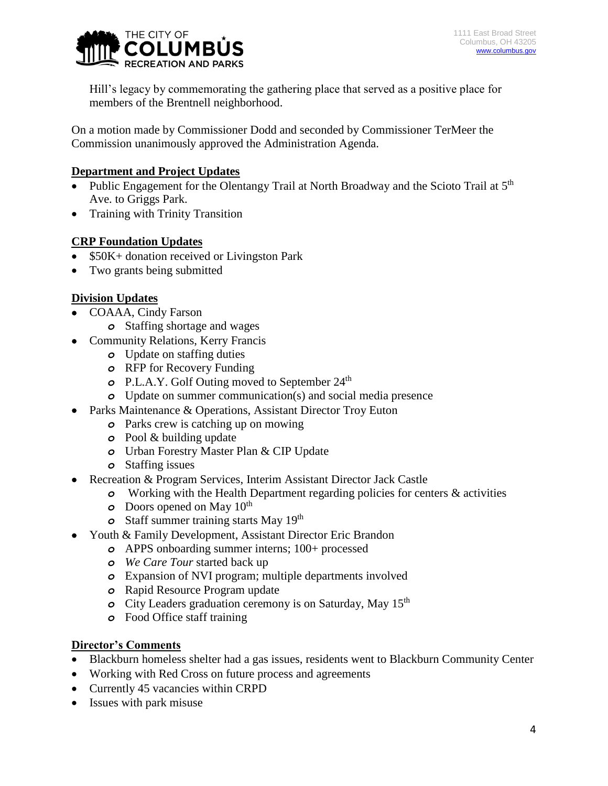

Hill's legacy by commemorating the gathering place that served as a positive place for members of the Brentnell neighborhood.

On a motion made by Commissioner Dodd and seconded by Commissioner TerMeer the Commission unanimously approved the Administration Agenda.

## **Department and Project Updates**

- Public Engagement for the Olentangy Trail at North Broadway and the Scioto Trail at  $5<sup>th</sup>$ Ave. to Griggs Park.
- Training with Trinity Transition

# **CRP Foundation Updates**

- \$50K+ donation received or Livingston Park
- Two grants being submitted

## **Division Updates**

- COAAA, Cindy Farson
	- *o* Staffing shortage and wages
- Community Relations, Kerry Francis
	- *o* Update on staffing duties
	- *o* RFP for Recovery Funding
	- *o* P.L.A.Y. Golf Outing moved to September 24<sup>th</sup>
	- *o* Update on summer communication(s) and social media presence
- Parks Maintenance & Operations, Assistant Director Troy Euton
	- *o* Parks crew is catching up on mowing
	- *o* Pool & building update
	- *o* Urban Forestry Master Plan & CIP Update
	- *o* Staffing issues
- Recreation & Program Services, Interim Assistant Director Jack Castle
	- *o* Working with the Health Department regarding policies for centers & activities
	- *o* Doors opened on May 10<sup>th</sup>
	- *o* Staff summer training starts May 19th
- Youth & Family Development, Assistant Director Eric Brandon
	- *o* APPS onboarding summer interns; 100+ processed
	- *o We Care Tour* started back up
	- *o* Expansion of NVI program; multiple departments involved
	- *o* Rapid Resource Program update
	- *o* City Leaders graduation ceremony is on Saturday, May 15<sup>th</sup>
	- *o* Food Office staff training

#### **Director's Comments**

- Blackburn homeless shelter had a gas issues, residents went to Blackburn Community Center
- Working with Red Cross on future process and agreements
- Currently 45 vacancies within CRPD
- Issues with park misuse